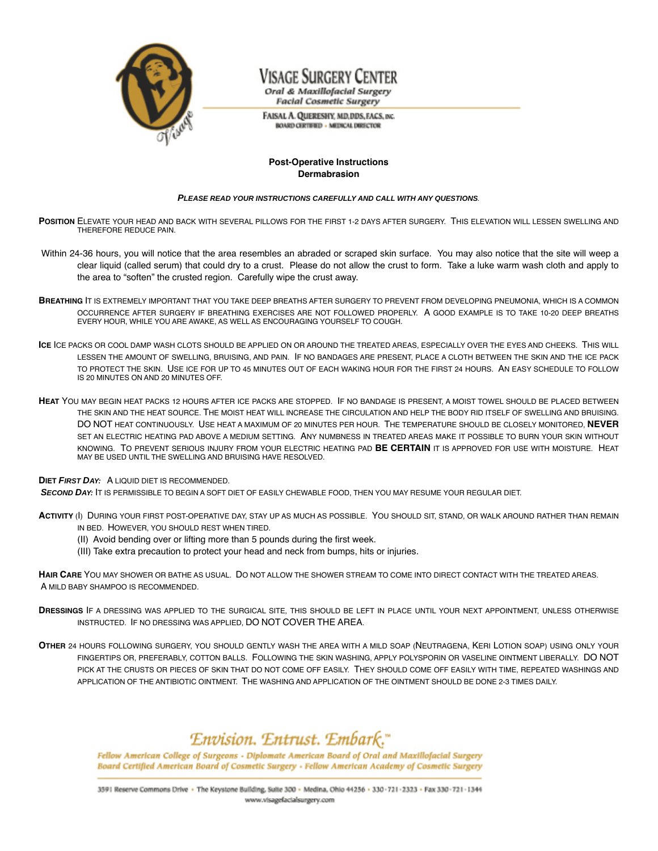

## Visage Surgery Center

Oral & Maxillofacial Surgery **Facial Cosmetic Surgery** 

FAISAL A. QUERESHY, MD, DDS, FACS, INC. **BOARD CERTIFIED - MEDICAL DIRECTOR** 

### **Post-Operative Instructions Dermabrasion**

#### **PLEASE READ YOUR INSTRUCTIONS CAREFULLY AND CALL WITH ANY QUESTIONS**.

- **POSITION** ELEVATE YOUR HEAD AND BACK WITH SEVERAL PILLOWS FOR THE FIRST 1-2 DAYS AFTER SURGERY. THIS ELEVATION WILL LESSEN SWELLING AND THEREFORE REDUCE PAIN.
- Within 24-36 hours, you will notice that the area resembles an abraded or scraped skin surface. You may also notice that the site will weep a clear liquid (called serum) that could dry to a crust. Please do not allow the crust to form. Take a luke warm wash cloth and apply to the area to "soften" the crusted region. Carefully wipe the crust away.
- **BREATHING** IT IS EXTREMELY IMPORTANT THAT YOU TAKE DEEP BREATHS AFTER SURGERY TO PREVENT FROM DEVELOPING PNEUMONIA, WHICH IS A COMMON OCCURRENCE AFTER SURGERY IF BREATHING EXERCISES ARE NOT FOLLOWED PROPERLY. A GOOD EXAMPLE IS TO TAKE 10-20 DEEP BREATHS EVERY HOUR, WHILE YOU ARE AWAKE, AS WELL AS ENCOURAGING YOURSELF TO COUGH.
- **ICE** ICE PACKS OR COOL DAMP WASH CLOTS SHOULD BE APPLIED ON OR AROUND THE TREATED AREAS, ESPECIALLY OVER THE EYES AND CHEEKS. THIS WILL LESSEN THE AMOUNT OF SWELLING, BRUISING, AND PAIN. IF NO BANDAGES ARE PRESENT, PLACE A CLOTH BETWEEN THE SKIN AND THE ICE PACK TO PROTECT THE SKIN. USE ICE FOR UP TO 45 MINUTES OUT OF EACH WAKING HOUR FOR THE FIRST 24 HOURS. AN EASY SCHEDULE TO FOLLOW IS 20 MINUTES ON AND 20 MINUTES OFF.
- **HEAT** YOU MAY BEGIN HEAT PACKS 12 HOURS AFTER ICE PACKS ARE STOPPED. IF NO BANDAGE IS PRESENT, A MOIST TOWEL SHOULD BE PLACED BETWEEN THE SKIN AND THE HEAT SOURCE. THE MOIST HEAT WILL INCREASE THE CIRCULATION AND HELP THE BODY RID ITSELF OF SWELLING AND BRUISING. DO NOT HEAT CONTINUOUSLY. USE HEAT A MAXIMUM OF 20 MINUTES PER HOUR. THE TEMPERATURE SHOULD BE CLOSELY MONITORED, **NEVER** SET AN ELECTRIC HEATING PAD ABOVE A MEDIUM SETTING. ANY NUMBNESS IN TREATED AREAS MAKE IT POSSIBLE TO BURN YOUR SKIN WITHOUT KNOWING. TO PREVENT SERIOUS INJURY FROM YOUR ELECTRIC HEATING PAD **BE CERTAIN** IT IS APPROVED FOR USE WITH MOISTURE. HEAT MAY BE USED UNTIL THE SWELLING AND BRUISING HAVE RESOLVED.

### **DIET FIRST DAY:** A LIQUID DIET IS RECOMMENDED.

**SECOND DAY:** IT IS PERMISSIBLE TO BEGIN A SOFT DIET OF EASILY CHEWABLE FOOD, THEN YOU MAY RESUME YOUR REGULAR DIET.

- **ACTIVITY** (I) DURING YOUR FIRST POST-OPERATIVE DAY, STAY UP AS MUCH AS POSSIBLE. YOU SHOULD SIT, STAND, OR WALK AROUND RATHER THAN REMAIN IN BED. HOWEVER, YOU SHOULD REST WHEN TIRED.
	- (II) Avoid bending over or lifting more than 5 pounds during the first week.
	- (III) Take extra precaution to protect your head and neck from bumps, hits or injuries.

**HAIR CARE** YOU MAY SHOWER OR BATHE AS USUAL. DO NOT ALLOW THE SHOWER STREAM TO COME INTO DIRECT CONTACT WITH THE TREATED AREAS. A MILD BABY SHAMPOO IS RECOMMENDED.

- **DRESSINGS** IF A DRESSING WAS APPLIED TO THE SURGICAL SITE, THIS SHOULD BE LEFT IN PLACE UNTIL YOUR NEXT APPOINTMENT, UNLESS OTHERWISE INSTRUCTED. IF NO DRESSING WAS APPLIED, DO NOT COVER THE AREA.
- **OTHER** 24 HOURS FOLLOWING SURGERY, YOU SHOULD GENTLY WASH THE AREA WITH A MILD SOAP (NEUTRAGENA, KERI LOTION SOAP) USING ONLY YOUR FINGERTIPS OR, PREFERABLY, COTTON BALLS. FOLLOWING THE SKIN WASHING, APPLY POLYSPORIN OR VASELINE OINTMENT LIBERALLY. DO NOT PICK AT THE CRUSTS OR PIECES OF SKIN THAT DO NOT COME OFF EASILY. THEY SHOULD COME OFF EASILY WITH TIME, REPEATED WASHINGS AND APPLICATION OF THE ANTIBIOTIC OINTMENT. THE WASHING AND APPLICATION OF THE OINTMENT SHOULD BE DONE 2-3 TIMES DAILY.

### Envision. Entrust. Embark."

Fellow American College of Surgeons - Diplomate American Board of Oral and Maxillofacial Surgery Board Certified American Board of Cosmetic Surgery - Fellow American Academy of Cosmetic Surgery

3591 Reserve Commons Drive · The Keystone Building, Suite 300 - Medina, Ohio 44256 - 330-721-2323 - Fax 330-721-1344 www.visagefacialsurgery.com